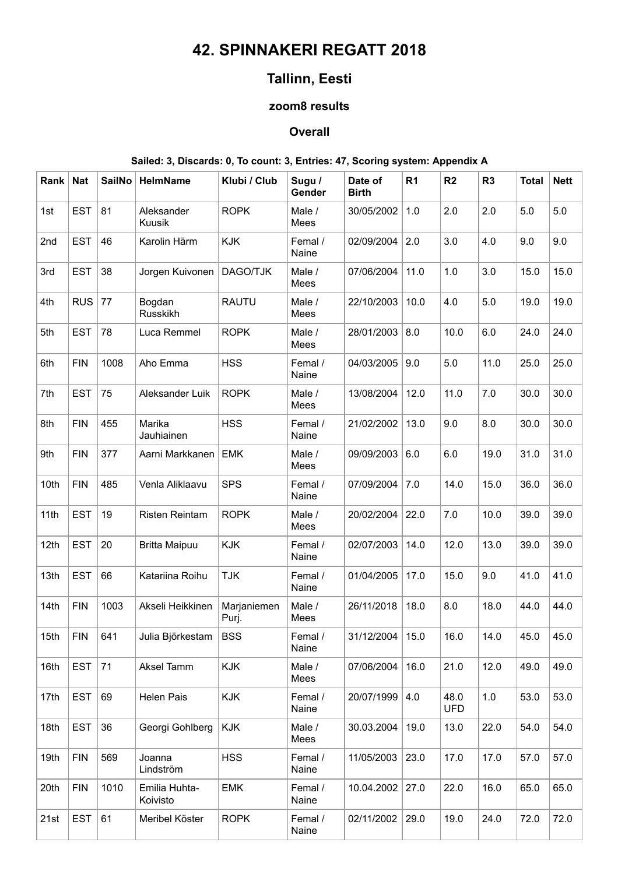# **42. SPINNAKERI REGATT 2018**

# **Tallinn, Eesti**

### **zoom8 results**

#### **Overall**

### **Sailed: 3, Discards: 0, To count: 3, Entries: 47, Scoring system: Appendix A**

| Rank | <b>Nat</b> | SailNo | <b>HelmName</b>           | Klubi / Club         | Sugu /<br>Gender | Date of<br><b>Birth</b> | R <sub>1</sub> | R2                 | R <sub>3</sub> | <b>Total</b> | <b>Nett</b> |
|------|------------|--------|---------------------------|----------------------|------------------|-------------------------|----------------|--------------------|----------------|--------------|-------------|
| 1st  | <b>EST</b> | 81     | Aleksander<br>Kuusik      | <b>ROPK</b>          | Male /<br>Mees   | 30/05/2002              | 1.0            | 2.0                | 2.0            | 5.0          | 5.0         |
| 2nd  | <b>EST</b> | 46     | Karolin Härm              | <b>KJK</b>           | Femal /<br>Naine | 02/09/2004              | 2.0            | 3.0                | 4.0            | 9.0          | 9.0         |
| 3rd  | <b>EST</b> | 38     | Jorgen Kuivonen           | DAGO/TJK             | Male /<br>Mees   | 07/06/2004              | 11.0           | 1.0                | 3.0            | 15.0         | 15.0        |
| 4th  | <b>RUS</b> | 77     | Bogdan<br>Russkikh        | <b>RAUTU</b>         | Male /<br>Mees   | 22/10/2003              | 10.0           | 4.0                | 5.0            | 19.0         | 19.0        |
| 5th  | <b>EST</b> | 78     | Luca Remmel               | <b>ROPK</b>          | Male /<br>Mees   | 28/01/2003              | 8.0            | 10.0               | 6.0            | 24.0         | 24.0        |
| 6th  | <b>FIN</b> | 1008   | Aho Emma                  | <b>HSS</b>           | Femal /<br>Naine | 04/03/2005              | 9.0            | $5.0\,$            | 11.0           | 25.0         | 25.0        |
| 7th  | <b>EST</b> | 75     | Aleksander Luik           | <b>ROPK</b>          | Male /<br>Mees   | 13/08/2004              | 12.0           | 11.0               | 7.0            | 30.0         | 30.0        |
| 8th  | <b>FIN</b> | 455    | Marika<br>Jauhiainen      | <b>HSS</b>           | Femal /<br>Naine | 21/02/2002              | 13.0           | 9.0                | 8.0            | 30.0         | 30.0        |
| 9th  | <b>FIN</b> | 377    | Aarni Markkanen           | <b>EMK</b>           | Male /<br>Mees   | 09/09/2003              | 6.0            | 6.0                | 19.0           | 31.0         | 31.0        |
| 10th | <b>FIN</b> | 485    | Venla Aliklaavu           | <b>SPS</b>           | Femal /<br>Naine | 07/09/2004              | 7.0            | 14.0               | 15.0           | 36.0         | 36.0        |
| 11th | <b>EST</b> | 19     | <b>Risten Reintam</b>     | <b>ROPK</b>          | Male /<br>Mees   | 20/02/2004              | 22.0           | 7.0                | 10.0           | 39.0         | 39.0        |
| 12th | <b>EST</b> | 20     | <b>Britta Maipuu</b>      | <b>KJK</b>           | Femal /<br>Naine | 02/07/2003              | 14.0           | 12.0               | 13.0           | 39.0         | 39.0        |
| 13th | <b>EST</b> | 66     | Katariina Roihu           | <b>TJK</b>           | Femal /<br>Naine | 01/04/2005              | 17.0           | 15.0               | 9.0            | 41.0         | 41.0        |
| 14th | <b>FIN</b> | 1003   | Akseli Heikkinen          | Marjaniemen<br>Purj. | Male /<br>Mees   | 26/11/2018              | 18.0           | 8.0                | 18.0           | 44.0         | 44.0        |
| 15th | <b>FIN</b> | 641    | Julia Björkestam          | <b>BSS</b>           | Femal /<br>Naine | 31/12/2004   15.0       |                | 16.0               | 14.0           | 45.0         | 45.0        |
| 16th | <b>EST</b> | 71     | Aksel Tamm                | <b>KJK</b>           | Male /<br>Mees   | 07/06/2004              | 16.0           | 21.0               | 12.0           | 49.0         | 49.0        |
| 17th | <b>EST</b> | 69     | Helen Pais                | <b>KJK</b>           | Femal /<br>Naine | 20/07/1999              | 4.0            | 48.0<br><b>UFD</b> | $1.0$          | 53.0         | 53.0        |
| 18th | <b>EST</b> | 36     | Georgi Gohlberg           | KJK                  | Male /<br>Mees   | 30.03.2004              | 19.0           | 13.0               | 22.0           | 54.0         | 54.0        |
| 19th | <b>FIN</b> | 569    | Joanna<br>Lindström       | <b>HSS</b>           | Femal /<br>Naine | 11/05/2003              | 23.0           | 17.0               | 17.0           | 57.0         | 57.0        |
| 20th | <b>FIN</b> | 1010   | Emilia Huhta-<br>Koivisto | <b>EMK</b>           | Femal /<br>Naine | 10.04.2002              | 27.0           | 22.0               | 16.0           | 65.0         | 65.0        |
| 21st | <b>EST</b> | 61     | Meribel Köster            | <b>ROPK</b>          | Femal /<br>Naine | 02/11/2002              | 29.0           | 19.0               | 24.0           | 72.0         | 72.0        |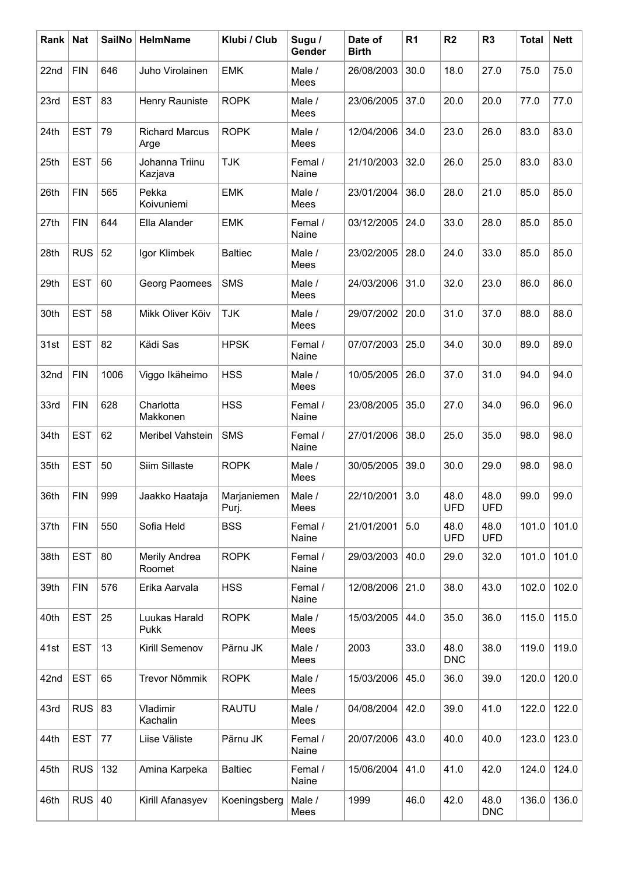| Rank | <b>Nat</b> | <b>SailNo</b> | <b>HelmName</b>               | Klubi / Club         | Sugu /<br>Gender | Date of<br><b>Birth</b> | R <sub>1</sub> | R <sub>2</sub>     | R <sub>3</sub>     | <b>Total</b> | <b>Nett</b> |
|------|------------|---------------|-------------------------------|----------------------|------------------|-------------------------|----------------|--------------------|--------------------|--------------|-------------|
| 22nd | <b>FIN</b> | 646           | Juho Virolainen               | <b>EMK</b>           | Male /<br>Mees   | 26/08/2003              | 30.0           | 18.0               | 27.0               | 75.0         | 75.0        |
| 23rd | <b>EST</b> | 83            | Henry Rauniste                | <b>ROPK</b>          | Male /<br>Mees   | 23/06/2005              | 37.0           | 20.0               | 20.0               | 77.0         | 77.0        |
| 24th | <b>EST</b> | 79            | <b>Richard Marcus</b><br>Arge | <b>ROPK</b>          | Male /<br>Mees   | 12/04/2006              | 34.0           | 23.0               | 26.0               | 83.0         | 83.0        |
| 25th | <b>EST</b> | 56            | Johanna Triinu<br>Kazjava     | <b>TJK</b>           | Femal /<br>Naine | 21/10/2003              | 32.0           | 26.0               | 25.0               | 83.0         | 83.0        |
| 26th | <b>FIN</b> | 565           | Pekka<br>Koivuniemi           | <b>EMK</b>           | Male /<br>Mees   | 23/01/2004              | 36.0           | 28.0               | 21.0               | 85.0         | 85.0        |
| 27th | <b>FIN</b> | 644           | Ella Alander                  | <b>EMK</b>           | Femal /<br>Naine | 03/12/2005              | 24.0           | 33.0               | 28.0               | 85.0         | 85.0        |
| 28th | <b>RUS</b> | 52            | Igor Klimbek                  | <b>Baltiec</b>       | Male /<br>Mees   | 23/02/2005              | 28.0           | 24.0               | 33.0               | 85.0         | 85.0        |
| 29th | <b>EST</b> | 60            | Georg Paomees                 | <b>SMS</b>           | Male /<br>Mees   | 24/03/2006              | 31.0           | 32.0               | 23.0               | 86.0         | 86.0        |
| 30th | <b>EST</b> | 58            | Mikk Oliver Kõiv              | <b>TJK</b>           | Male /<br>Mees   | 29/07/2002              | 20.0           | 31.0               | 37.0               | 88.0         | 88.0        |
| 31st | <b>EST</b> | 82            | Kädi Sas                      | <b>HPSK</b>          | Femal /<br>Naine | 07/07/2003              | 25.0           | 34.0               | 30.0               | 89.0         | 89.0        |
| 32nd | <b>FIN</b> | 1006          | Viggo Ikäheimo                | <b>HSS</b>           | Male /<br>Mees   | 10/05/2005              | 26.0           | 37.0               | 31.0               | 94.0         | 94.0        |
| 33rd | <b>FIN</b> | 628           | Charlotta<br>Makkonen         | <b>HSS</b>           | Femal /<br>Naine | 23/08/2005              | 35.0           | 27.0               | 34.0               | 96.0         | 96.0        |
| 34th | <b>EST</b> | 62            | Meribel Vahstein              | <b>SMS</b>           | Femal /<br>Naine | 27/01/2006              | 38.0           | 25.0               | 35.0               | 98.0         | 98.0        |
| 35th | <b>EST</b> | 50            | Siim Sillaste                 | <b>ROPK</b>          | Male /<br>Mees   | 30/05/2005              | 39.0           | 30.0               | 29.0               | 98.0         | 98.0        |
| 36th | <b>FIN</b> | 999           | Jaakko Haataja                | Marjaniemen<br>Purj. | Male /<br>Mees   | 22/10/2001              | 3.0            | 48.0<br><b>UFD</b> | 48.0<br><b>UFD</b> | 99.0         | 99.0        |
| 37th | <b>FIN</b> | 550           | Sofia Held                    | <b>BSS</b>           | Femal /<br>Naine | 21/01/2001              | 5.0            | 48.0<br><b>UFD</b> | 48.0<br><b>UFD</b> | 101.0        | 101.0       |
| 38th | <b>EST</b> | 80            | Merily Andrea<br>Roomet       | <b>ROPK</b>          | Femal /<br>Naine | 29/03/2003              | 40.0           | 29.0               | 32.0               | 101.0        | 101.0       |
| 39th | <b>FIN</b> | 576           | Erika Aarvala                 | <b>HSS</b>           | Femal /<br>Naine | 12/08/2006              | 21.0           | 38.0               | 43.0               | 102.0        | 102.0       |
| 40th | <b>EST</b> | 25            | Luukas Harald<br>Pukk         | <b>ROPK</b>          | Male /<br>Mees   | 15/03/2005              | 44.0           | 35.0               | 36.0               | 115.0        | 115.0       |
| 41st | <b>EST</b> | 13            | Kirill Semenov                | Pärnu JK             | Male /<br>Mees   | 2003                    | 33.0           | 48.0<br><b>DNC</b> | 38.0               | 119.0        | 119.0       |
| 42nd | <b>EST</b> | 65            | Trevor Nõmmik                 | <b>ROPK</b>          | Male /<br>Mees   | 15/03/2006              | 45.0           | 36.0               | 39.0               | 120.0        | 120.0       |
| 43rd | <b>RUS</b> | 83            | Vladimir<br>Kachalin          | <b>RAUTU</b>         | Male /<br>Mees   | 04/08/2004              | 42.0           | 39.0               | 41.0               | 122.0        | 122.0       |
| 44th | <b>EST</b> | 77            | Liise Väliste                 | Pärnu JK             | Femal /<br>Naine | 20/07/2006              | 43.0           | 40.0               | 40.0               | 123.0        | 123.0       |
| 45th | <b>RUS</b> | 132           | Amina Karpeka                 | <b>Baltiec</b>       | Femal /<br>Naine | 15/06/2004              | 41.0           | 41.0               | 42.0               | 124.0        | 124.0       |
| 46th | <b>RUS</b> | 40            | Kirill Afanasyev              | Koeningsberg         | Male /<br>Mees   | 1999                    | 46.0           | 42.0               | 48.0<br><b>DNC</b> | 136.0        | 136.0       |